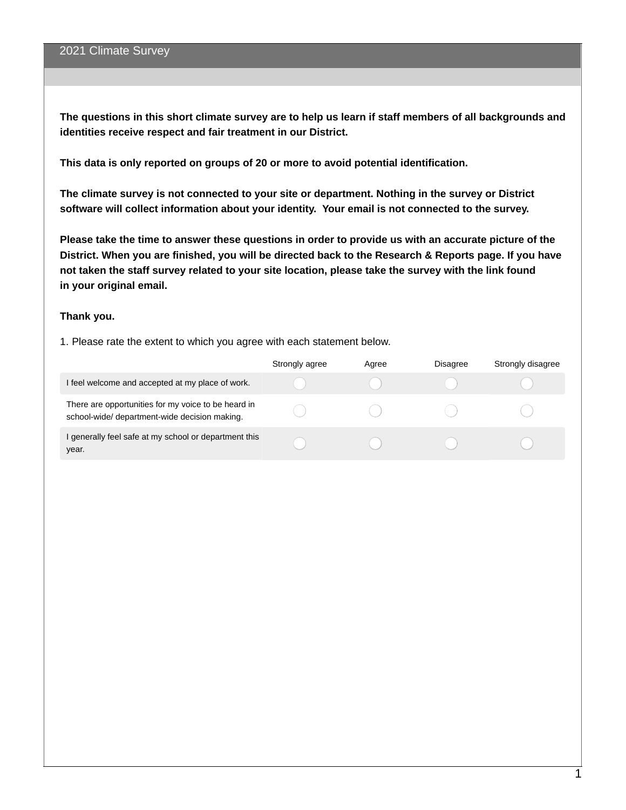The questions in this short climate survey are to help us learn if staff members of all backgrounds and **identities receive respect and fair treatment in our District.**

**This data is only reported on groups of 20 or more to avoid potential identification.**

**The climate survey is not connected to your site or department. Nothing in the survey or District software will collect information about your identity. Your email is not connected to the survey.**

Please take the time to answer these questions in order to provide us with an accurate picture of the District. When you are finished, you will be directed back to the Research & Reports page. If you have not taken the staff survey related to your site location, please take the survey with the link found **in your original email.**

#### **Thank you.**

1. Please rate the extent to which you agree with each statement below.

|                                                                                                      | Strongly agree | Agree | <b>Disagree</b> | Strongly disagree |
|------------------------------------------------------------------------------------------------------|----------------|-------|-----------------|-------------------|
| I feel welcome and accepted at my place of work.                                                     |                |       |                 |                   |
| There are opportunities for my voice to be heard in<br>school-wide/ department-wide decision making. |                |       |                 |                   |
| I generally feel safe at my school or department this<br>year.                                       |                |       |                 |                   |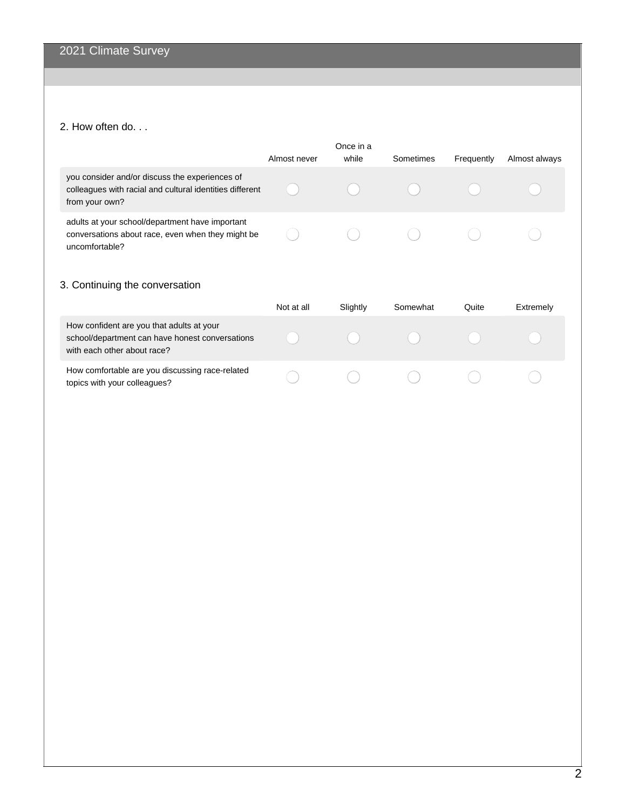# 2. How often do. . .

|                                                                                                                              | Almost never | Once in a<br>while | Sometimes | Frequently | Almost always |
|------------------------------------------------------------------------------------------------------------------------------|--------------|--------------------|-----------|------------|---------------|
| you consider and/or discuss the experiences of<br>colleagues with racial and cultural identities different<br>from your own? |              |                    |           |            |               |
| adults at your school/department have important<br>conversations about race, even when they might be<br>uncomfortable?       |              |                    |           |            |               |

# 3. Continuing the conversation

|                                                                                                                             | Not at all | Slightly | Somewhat | Ouite | Extremely |
|-----------------------------------------------------------------------------------------------------------------------------|------------|----------|----------|-------|-----------|
| How confident are you that adults at your<br>school/department can have honest conversations<br>with each other about race? |            |          |          |       |           |
| How comfortable are you discussing race-related<br>topics with your colleagues?                                             |            |          |          |       |           |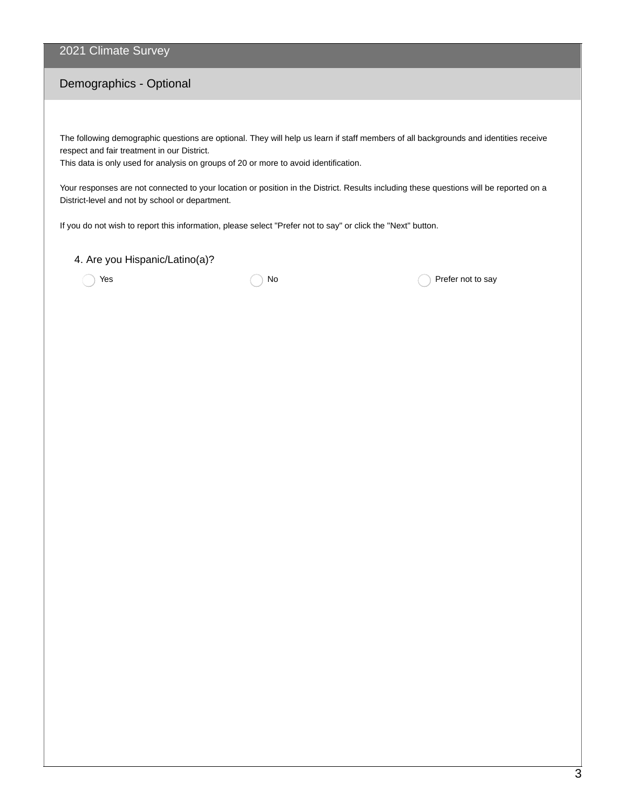## 2021 Climate Survey

## Demographics - Optional

The following demographic questions are optional. They will help us learn if staff members of all backgrounds and identities receive respect and fair treatment in our District.

This data is only used for analysis on groups of 20 or more to avoid identification.

Your responses are not connected to your location or position in the District. Results including these questions will be reported on a District-level and not by school or department.

If you do not wish to report this information, please select "Prefer not to say" or click the "Next" button.

#### 4. Are you Hispanic/Latino(a)?

 $Y$ es  $\bigcap$  No  $\bigcap$  No  $\bigcap$  Prefer not to say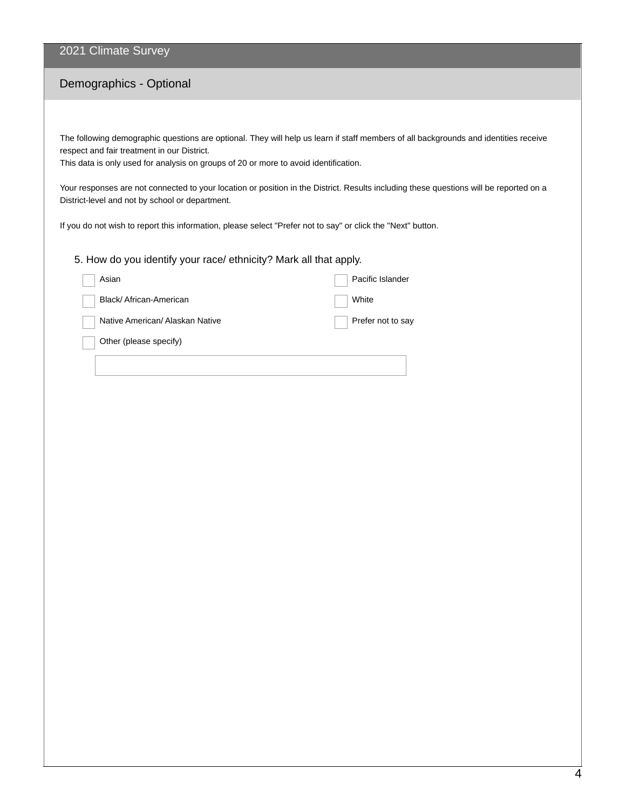### 2021 Climate Survey

## Demographics - Optional

The following demographic questions are optional. They will help us learn if staff members of all backgrounds and identities receive respect and fair treatment in our District.

This data is only used for analysis on groups of 20 or more to avoid identification.

Your responses are not connected to your location or position in the District. Results including these questions will be reported on a District-level and not by school or department.

If you do not wish to report this information, please select "Prefer not to say" or click the "Next" button.

#### 5. How do you identify your race/ ethnicity? Mark all that apply.

| Asian                           | Pacific Islander  |
|---------------------------------|-------------------|
| Black/African-American          | White             |
| Native American/ Alaskan Native | Prefer not to say |
| Other (please specify)          |                   |
|                                 |                   |